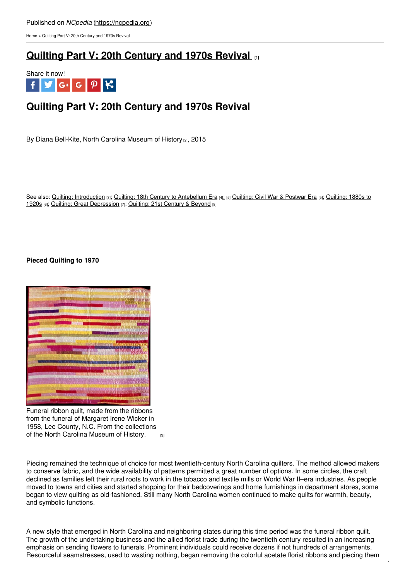## Published on *NCpedia* [\(https://ncpedia.org](https://ncpedia.org))

[Home](https://ncpedia.org/) > Quilting Part V: 20th Century and 1970s Revival

## **Quilting Part V: 20th [Century](https://ncpedia.org/quilting-part-v-20th-century-and) and 1970s Revival [1]**



# **Quilting Part V: 20th Century and 1970s Revival**

By Diana Bell-Kite, North Carolina [Museum](https://www.ncmuseumofhistory.org/) of History [2], 2015

See also: Quilting: [Introduction](https://ncpedia.org/quilting-part-iii-1880s-1920s) [3]; Quilting: 18th Century to [Antebellum](https://ncpedia.org/quilting-part-i-18th-century) Era [4][;](https://ncpedia.org/quilting-part-ii-civil-war-postwar) [5] [Quilting:](https://ncpedia.org/quilting-part-ii-civil-war-postwar) Civil War & Postwar Era [5]; Quilting: 1880s to 1920s [6]; Quilting: Great [Depression](https://ncpedia.org/quilting-part-iv-great-depression) [7]; [Quilting:](https://ncpedia.org/quilting-part-vi-21st-century-and) 21st Century & Beyond [8]

## **Pieced Quilting to 1970**



Funeral ribbon quilt, made from the ribbons from the funeral of Margaret Irene Wicker in 1958, Lee County, N.C. From the collections of the North Carolina [Museum](https://collections.ncdcr.gov/RediscoveryProficioPublicSearch/ShowItem.aspx?71077+&71077+) of History. **[9]** 

Piecing remained the technique of choice for most twentieth-century North Carolina quilters. The method allowed makers to conserve fabric, and the wide availability of patterns permitted a great number of options. In some circles, the craft declined as families left their rural roots to work in the tobacco and textile mills or World War II–era industries. As people moved to towns and cities and started shopping for their bedcoverings and home furnishings in department stores, some began to view quilting as old-fashioned. Still many North Carolina women continued to make quilts for warmth, beauty, and symbolic functions.

A new style that emerged in North Carolina and neighboring states during this time period was the funeral ribbon quilt. The growth of the undertaking business and the allied florist trade during the twentieth century resulted in an increasing emphasis on sending flowers to funerals. Prominent individuals could receive dozens if not hundreds of arrangements. Resourceful seamstresses, used to wasting nothing, began removing the colorful acetate florist ribbons and piecing them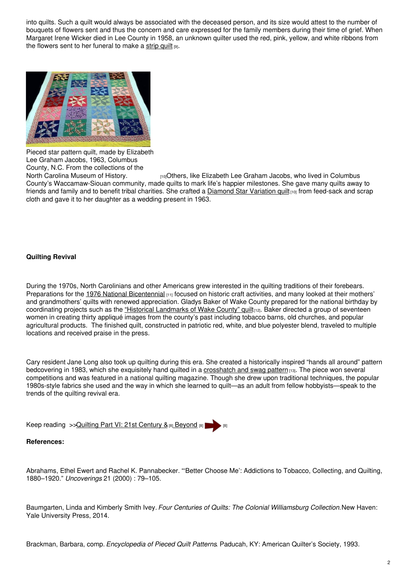into quilts. Such a quilt would always be associated with the deceased person, and its size would attest to the number of bouquets of flowers sent and thus the concern and care expressed for the family members during their time of grief. When Margaret Irene Wicker died in Lee County in 1958, an unknown quilter used the red, pink, yellow, and white ribbons from the flowers sent to her funeral to make a [strip](https://collections.ncdcr.gov/RediscoveryProficioPublicSearch/ShowItem.aspx?71077+&71077+) quilt  $[9]$ .



Pieced star pattern quilt, made by Elizabeth Lee Graham Jacobs, 1963, Columbus County, N.C. From the collections of the

North Carolina [Museum](https://collections.ncdcr.gov/RediscoveryProficioPublicSearch/ShowItem.aspx?48779+&48779+) of History. **[10]** Others, like Elizabeth Lee Graham Jacobs, who lived in Columbus County's Waccamaw-Siouan community, made quilts to mark life's happier milestones. She gave many quilts away to friends and family and to benefit tribal charities. She crafted a **[Diamond](https://collections.ncdcr.gov/RediscoveryProficioPublicSearch/ShowItem.aspx?48779+&48779+) Star Variation quilt**<sub>[10]</sub> from feed-sack and scrap cloth and gave it to her daughter as a wedding present in 1963.

## **Quilting Revival**

During the 1970s, North Carolinians and other Americans grew interested in the quilting traditions of their forebears. Preparations for the 1976 National [Bicentennial](https://ncpedia.org/american-revolution-bicentennial-ob) [11] focused on historic craft activities, and many looked at their mothers' and grandmothers' quilts with renewed appreciation. Gladys Baker of Wake County prepared for the national birthday by coordinating projects such as the "Historical [Landmarks](https://collections.ncdcr.gov/RediscoveryProficioPublicSearch/ShowItem.aspx?35505+&35505+) of Wake County" quilt<sub>[12]</sub>. Baker directed a group of seventeen women in creating thirty appliqué images from the county's past including tobacco barns, old churches, and popular agricultural products. The finished quilt, constructed in patriotic red, white, and blue polyester blend, traveled to multiple locations and received praise in the press.

Cary resident Jane Long also took up quilting during this era. She created a historically inspired "hands all around" pattern bedcovering in 1983, which she exquisitely hand quilted in a [crosshatch](https://collections.ncdcr.gov/RediscoveryProficioPublicSearch/ShowItem.aspx?13964+&13964+) and swag pattern [13]. The piece won several competitions and was featured in a national quilting magazine. Though she drew upon traditional techniques, the popular 1980s-style fabrics she used and the way in which she learned to quilt—as an adult from fellow hobbyists—speak to the trends of the quilting revival era.

|  | Keep reading >> Quilting Part VI: 21st Century & [8] Beyond [8] |  |  |
|--|-----------------------------------------------------------------|--|--|
|  |                                                                 |  |  |

## **References:**

Abrahams, Ethel Ewert and Rachel K. Pannabecker. "'Better Choose Me': Addictions to Tobacco, Collecting, and Quilting, 1880–1920." *Uncoverings* 21 (2000) : 79–105.

Baumgarten, Linda and Kimberly Smith Ivey. *Four Centuries of Quilts: The Colonial Williamsburg Collection.*New Haven: Yale University Press, 2014.

Brackman, Barbara, comp. *Encyclopedia of Pieced Quilt Patterns*. Paducah, KY: American Quilter's Society, 1993.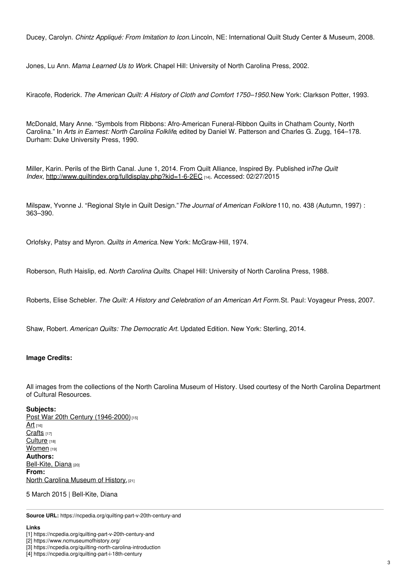Ducey, Carolyn. *Chintz Appliqué: From Imitation to Icon.*Lincoln, NE: International Quilt Study Center & Museum, 2008.

Jones, Lu Ann. *Mama Learned Us to Work.* Chapel Hill: University of North Carolina Press, 2002.

Kiracofe, Roderick. *The American Quilt: A History of Cloth and Comfort 1750–1950.*New York: Clarkson Potter, 1993.

McDonald, Mary Anne. "Symbols from Ribbons: Afro-American Funeral-Ribbon Quilts in Chatham County, North Carolina." In *Arts in Earnest: North Carolina Folklife*, edited by Daniel W. Patterson and Charles G. Zugg, 164–178. Durham: Duke University Press, 1990.

Miller, Karin. Perils of the Birth Canal. June 1, 2014. From Quilt Alliance, Inspired By. Published in*The Quilt Index,* <http://www.quiltindex.org/fulldisplay.php?kid=1-6-2EC> [14]. Accessed: 02/27/2015

Milspaw, Yvonne J. "Regional Style in Quilt Design."*The Journal of American Folklore* 110, no. 438 (Autumn, 1997) : 363–390.

Orlofsky, Patsy and Myron. *Quilts in America.* New York: McGraw-Hill, 1974.

Roberson, Ruth Haislip, ed. *North Carolina Quilts*. Chapel Hill: University of North Carolina Press, 1988.

Roberts, Elise Schebler. *The Quilt: A History and Celebration of an American Art Form.*St. Paul: Voyageur Press, 2007.

Shaw, Robert. *American Quilts: The Democratic Art.* Updated Edition. New York: Sterling, 2014.

## **Image Credits:**

All images from the collections of the North Carolina Museum of History. Used courtesy of the North Carolina Department of Cultural Resources.

## **Subjects:**

Post War 20th Century [\(1946-2000\)](https://ncpedia.org/category/subjects/post-war-20th-cen)[15]  $Art$  [16] [Crafts](https://ncpedia.org/category/subjects/crafts) [17] [Culture](https://ncpedia.org/category/subjects/culture) [18] [Women](https://ncpedia.org/category/subjects/women) [19] **Authors:** [Bell-Kite,](https://ncpedia.org/category/authors/bell-kite-diana) Diana [20] **From:** North Carolina [Museum](https://ncpedia.org/category/entry-source/north-1) of History.<sup>[21]</sup>

5 March 2015 | Bell-Kite, Diana

**Source URL:** https://ncpedia.org/quilting-part-v-20th-century-and

#### **Links**

<sup>[1]</sup> https://ncpedia.org/quilting-part-v-20th-century-and

<sup>[2]</sup> https://www.ncmuseumofhistory.org/

<sup>[3]</sup> https://ncpedia.org/quilting-north-carolina-introduction

<sup>[4]</sup> https://ncpedia.org/quilting-part-i-18th-century